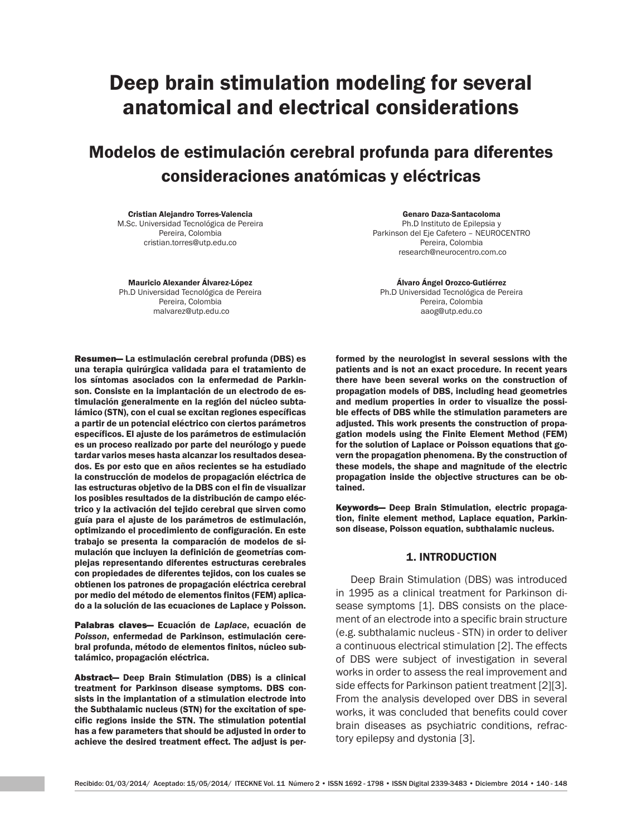# Deep brain stimulation modeling for several anatomical and electrical considerations

Modelos de estimulación cerebral profunda para diferentes consideraciones anatómicas y eléctricas

Cristian Alejandro Torres-Valencia M.Sc. Universidad Tecnológica de Pereira Pereira, Colombia cristian.torres@utp.edu.co

Mauricio Alexander Álvarez-López Ph.D Universidad Tecnológica de Pereira Pereira, Colombia malvarez@utp.edu.co

Resumen— La estimulación cerebral profunda (DBS) es una terapia quirúrgica validada para el tratamiento de los síntomas asociados con la enfermedad de Parkinson. Consiste en la implantación de un electrodo de estimulación generalmente en la región del núcleo subtalámico (STN), con el cual se excitan regiones específicas a partir de un potencial eléctrico con ciertos parámetros específicos. El ajuste de los parámetros de estimulación es un proceso realizado por parte del neurólogo y puede tardar varios meses hasta alcanzar los resultados deseados. Es por esto que en años recientes se ha estudiado la construcción de modelos de propagación eléctrica de las estructuras objetivo de la DBS con el fin de visualizar los posibles resultados de la distribución de campo eléctrico y la activación del tejido cerebral que sirven como guía para el ajuste de los parámetros de estimulación, optimizando el procedimiento de configuración. En este trabajo se presenta la comparación de modelos de simulación que incluyen la definición de geometrías complejas representando diferentes estructuras cerebrales con propiedades de diferentes tejidos, con los cuales se obtienen los patrones de propagación eléctrica cerebral por medio del método de elementos finitos (FEM) aplicado a la solución de las ecuaciones de Laplace y Poisson.

Palabras claves— Ecuación de *Laplace*, ecuación de *Poisson*, enfermedad de Parkinson, estimulación cerebral profunda, método de elementos finitos, núcleo subtalámico, propagación eléctrica.

Abstract— Deep Brain Stimulation (DBS) is a clinical treatment for Parkinson disease symptoms. DBS consists in the implantation of a stimulation electrode into the Subthalamic nucleus (STN) for the excitation of specific regions inside the STN. The stimulation potential has a few parameters that should be adjusted in order to achieve the desired treatment effect. The adjust is per-

Genaro Daza-Santacoloma Ph.D Instituto de Epilepsia y Parkinson del Eje Cafetero – NEUROCENTRO Pereira, Colombia research@neurocentro.com.co

Álvaro Ángel Orozco-Gutiérrez Ph.D Universidad Tecnológica de Pereira Pereira, Colombia aaog@utp.edu.co

formed by the neurologist in several sessions with the patients and is not an exact procedure. In recent years there have been several works on the construction of propagation models of DBS, including head geometries and medium properties in order to visualize the possible effects of DBS while the stimulation parameters are adjusted. This work presents the construction of propagation models using the Finite Element Method (FEM) for the solution of Laplace or Poisson equations that govern the propagation phenomena. By the construction of these models, the shape and magnitude of the electric propagation inside the objective structures can be obtained.

Keywords— Deep Brain Stimulation, electric propagation, finite element method, Laplace equation, Parkinson disease, Poisson equation, subthalamic nucleus.

## 1. INTRODUCTION

Deep Brain Stimulation (DBS) was introduced in 1995 as a clinical treatment for Parkinson disease symptoms [1]. DBS consists on the placement of an electrode into a specific brain structure (e.g. subthalamic nucleus - STN) in order to deliver a continuous electrical stimulation [2]. The effects of DBS were subject of investigation in several works in order to assess the real improvement and side effects for Parkinson patient treatment [2][3]. From the analysis developed over DBS in several works, it was concluded that benefits could cover brain diseases as psychiatric conditions, refractory epilepsy and dystonia [3].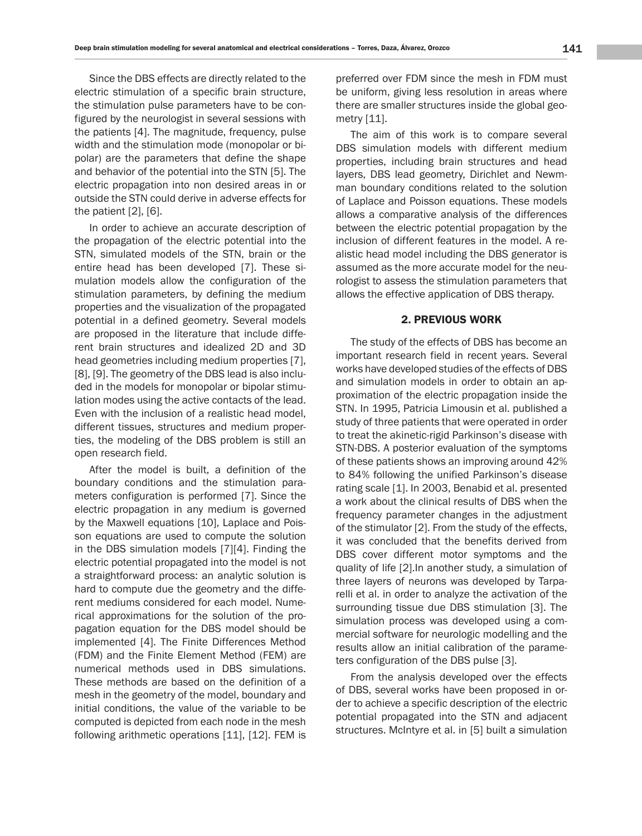Since the DBS effects are directly related to the electric stimulation of a specific brain structure, the stimulation pulse parameters have to be configured by the neurologist in several sessions with the patients [4]. The magnitude, frequency, pulse width and the stimulation mode (monopolar or bipolar) are the parameters that define the shape and behavior of the potential into the STN [5]. The electric propagation into non desired areas in or outside the STN could derive in adverse effects for the patient [2], [6].

In order to achieve an accurate description of the propagation of the electric potential into the STN, simulated models of the STN, brain or the entire head has been developed [7]. These simulation models allow the configuration of the stimulation parameters, by defining the medium properties and the visualization of the propagated potential in a defined geometry. Several models are proposed in the literature that include different brain structures and idealized 2D and 3D head geometries including medium properties [7], [8], [9]. The geometry of the DBS lead is also included in the models for monopolar or bipolar stimulation modes using the active contacts of the lead. Even with the inclusion of a realistic head model, different tissues, structures and medium properties, the modeling of the DBS problem is still an open research field.

After the model is built, a definition of the boundary conditions and the stimulation parameters configuration is performed [7]. Since the electric propagation in any medium is governed by the Maxwell equations [10], Laplace and Poisson equations are used to compute the solution in the DBS simulation models [7][4]. Finding the electric potential propagated into the model is not a straightforward process: an analytic solution is hard to compute due the geometry and the different mediums considered for each model. Numerical approximations for the solution of the propagation equation for the DBS model should be implemented [4]. The Finite Differences Method (FDM) and the Finite Element Method (FEM) are numerical methods used in DBS simulations. These methods are based on the definition of a mesh in the geometry of the model, boundary and initial conditions, the value of the variable to be computed is depicted from each node in the mesh following arithmetic operations [11], [12]. FEM is preferred over FDM since the mesh in FDM must be uniform, giving less resolution in areas where there are smaller structures inside the global geometry [11].

The aim of this work is to compare several DBS simulation models with different medium properties, including brain structures and head layers, DBS lead geometry, Dirichlet and Newmman boundary conditions related to the solution of Laplace and Poisson equations. These models allows a comparative analysis of the differences between the electric potential propagation by the inclusion of different features in the model. A realistic head model including the DBS generator is assumed as the more accurate model for the neurologist to assess the stimulation parameters that allows the effective application of DBS therapy.

### 2. PREVIOUS WORK

The study of the effects of DBS has become an important research field in recent years. Several works have developed studies of the effects of DBS and simulation models in order to obtain an approximation of the electric propagation inside the STN. In 1995, Patricia Limousin et al. published a study of three patients that were operated in order to treat the akinetic-rigid Parkinson's disease with STN-DBS. A posterior evaluation of the symptoms of these patients shows an improving around 42% to 84% following the unified Parkinson's disease rating scale [1]. In 2003, Benabid et al. presented a work about the clinical results of DBS when the frequency parameter changes in the adjustment of the stimulator [2]. From the study of the effects, it was concluded that the benefits derived from DBS cover different motor symptoms and the quality of life [2].In another study, a simulation of three layers of neurons was developed by Tarparelli et al. in order to analyze the activation of the surrounding tissue due DBS stimulation [3]. The simulation process was developed using a commercial software for neurologic modelling and the results allow an initial calibration of the parameters configuration of the DBS pulse [3].

From the analysis developed over the effects of DBS, several works have been proposed in order to achieve a specific description of the electric potential propagated into the STN and adjacent structures. McIntyre et al. in [5] built a simulation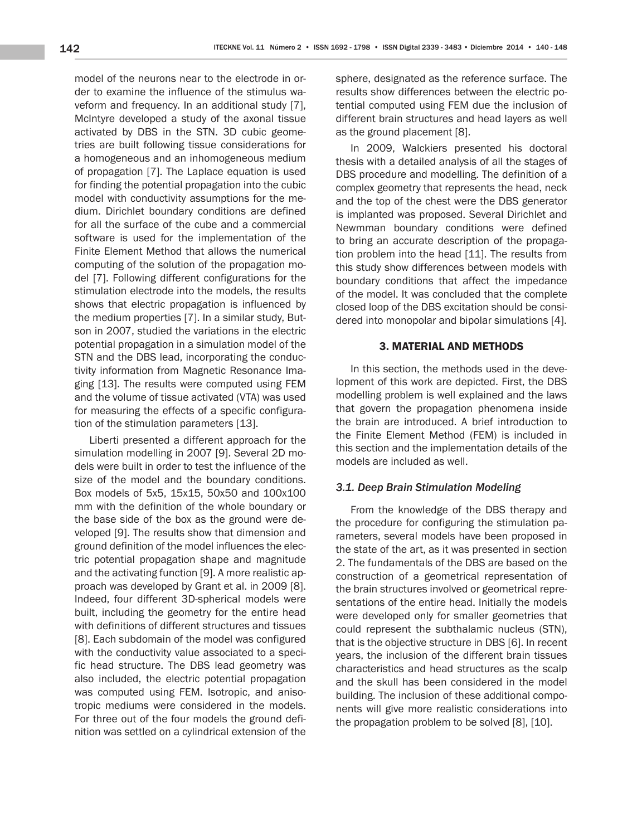model of the neurons near to the electrode in order to examine the influence of the stimulus waveform and frequency. In an additional study [7], McIntyre developed a study of the axonal tissue activated by DBS in the STN. 3D cubic geometries are built following tissue considerations for a homogeneous and an inhomogeneous medium of propagation [7]. The Laplace equation is used for finding the potential propagation into the cubic model with conductivity assumptions for the medium. Dirichlet boundary conditions are defined for all the surface of the cube and a commercial software is used for the implementation of the Finite Element Method that allows the numerical computing of the solution of the propagation model [7]. Following different configurations for the stimulation electrode into the models, the results shows that electric propagation is influenced by the medium properties [7]. In a similar study, Butson in 2007, studied the variations in the electric potential propagation in a simulation model of the STN and the DBS lead, incorporating the conductivity information from Magnetic Resonance Imaging [13]. The results were computed using FEM and the volume of tissue activated (VTA) was used for measuring the effects of a specific configuration of the stimulation parameters [13].

Liberti presented a different approach for the simulation modelling in 2007 [9]. Several 2D models were built in order to test the influence of the size of the model and the boundary conditions. Box models of 5x5, 15x15, 50x50 and 100x100 mm with the definition of the whole boundary or the base side of the box as the ground were developed [9]. The results show that dimension and ground definition of the model influences the electric potential propagation shape and magnitude and the activating function [9]. A more realistic approach was developed by Grant et al. in 2009 [8]. Indeed, four different 3D-spherical models were built, including the geometry for the entire head with definitions of different structures and tissues [8]. Each subdomain of the model was configured with the conductivity value associated to a specific head structure. The DBS lead geometry was also included, the electric potential propagation was computed using FEM. Isotropic, and anisotropic mediums were considered in the models. For three out of the four models the ground definition was settled on a cylindrical extension of the

sphere, designated as the reference surface. The results show differences between the electric potential computed using FEM due the inclusion of different brain structures and head layers as well as the ground placement [8].

In 2009, Walckiers presented his doctoral thesis with a detailed analysis of all the stages of DBS procedure and modelling. The definition of a complex geometry that represents the head, neck and the top of the chest were the DBS generator is implanted was proposed. Several Dirichlet and Newmman boundary conditions were defined to bring an accurate description of the propagation problem into the head [11]. The results from this study show differences between models with boundary conditions that affect the impedance of the model. It was concluded that the complete closed loop of the DBS excitation should be considered into monopolar and bipolar simulations [4].

## 3. MATERIAL AND METHODS

In this section, the methods used in the development of this work are depicted. First, the DBS modelling problem is well explained and the laws that govern the propagation phenomena inside the brain are introduced. A brief introduction to the Finite Element Method (FEM) is included in this section and the implementation details of the models are included as well.

#### *3.1. Deep Brain Stimulation Modeling*

From the knowledge of the DBS therapy and the procedure for configuring the stimulation parameters, several models have been proposed in the state of the art, as it was presented in section 2. The fundamentals of the DBS are based on the construction of a geometrical representation of the brain structures involved or geometrical representations of the entire head. Initially the models were developed only for smaller geometries that could represent the subthalamic nucleus (STN), that is the objective structure in DBS [6]. In recent years, the inclusion of the different brain tissues characteristics and head structures as the scalp and the skull has been considered in the model building. The inclusion of these additional components will give more realistic considerations into the propagation problem to be solved [8], [10].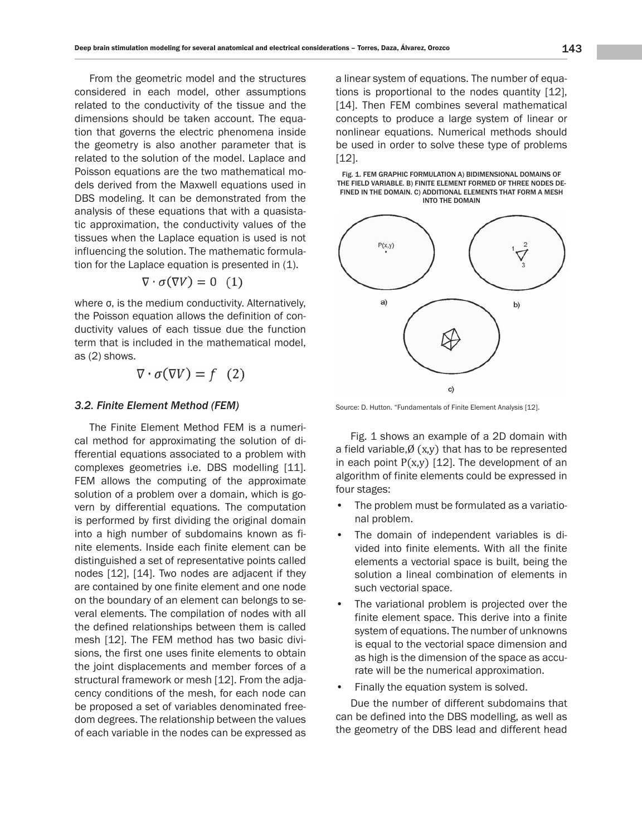From the geometric model and the structures considered in each model, other assumptions related to the conductivity of the tissue and the dimensions should be taken account. The equation that governs the electric phenomena inside the geometry is also another parameter that is related to the solution of the model. Laplace and Poisson equations are the two mathematical models derived from the Maxwell equations used in DBS modeling. It can be demonstrated from the analysis of these equations that with a quasistatic approximation, the conductivity values of the tissues when the Laplace equation is used is not influencing the solution. The mathematic formulation for the Laplace equation is presented in (1).

$$
\nabla \cdot \sigma(\nabla V) = 0 \quad (1)
$$

where σ, is the medium conductivity. Alternatively, the Poisson equation allows the definition of conductivity values of each tissue due the function term that is included in the mathematical model, as (2) shows.

$$
\nabla \cdot \sigma(\nabla V) = f \quad (2)
$$

#### *3.2. Finite Element Method (FEM)*

The Finite Element Method FEM is a numerical method for approximating the solution of differential equations associated to a problem with complexes geometries i.e. DBS modelling [11]. FEM allows the computing of the approximate solution of a problem over a domain, which is govern by differential equations. The computation is performed by first dividing the original domain into a high number of subdomains known as finite elements. Inside each finite element can be distinguished a set of representative points called nodes [12], [14]. Two nodes are adjacent if they are contained by one finite element and one node on the boundary of an element can belongs to several elements. The compilation of nodes with all the defined relationships between them is called mesh [12]. The FEM method has two basic divisions, the first one uses finite elements to obtain the joint displacements and member forces of a structural framework or mesh [12]. From the adjacency conditions of the mesh, for each node can be proposed a set of variables denominated freedom degrees. The relationship between the values of each variable in the nodes can be expressed as a linear system of equations. The number of equations is proportional to the nodes quantity [12], [14]. Then FEM combines several mathematical concepts to produce a large system of linear or nonlinear equations. Numerical methods should be used in order to solve these type of problems [12].





Source: D. Hutton. "Fundamentals of Finite Element Analysis [12].

Fig. 1 shows an example of a 2D domain with a field variable, $\emptyset$  (x,y) that has to be represented in each point  $P(x,y)$  [12]. The development of an algorithm of finite elements could be expressed in four stages:

- The problem must be formulated as a variational problem.
- The domain of independent variables is divided into finite elements. With all the finite elements a vectorial space is built, being the solution a lineal combination of elements in such vectorial space.
- The variational problem is projected over the finite element space. This derive into a finite system of equations. The number of unknowns is equal to the vectorial space dimension and as high is the dimension of the space as accurate will be the numerical approximation.
- Finally the equation system is solved.

Due the number of different subdomains that can be defined into the DBS modelling, as well as the geometry of the DBS lead and different head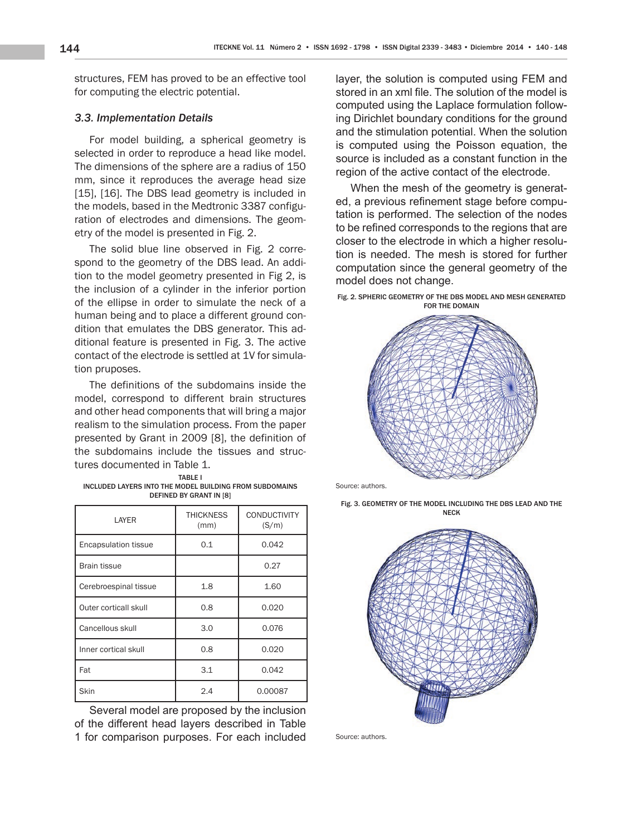structures, FEM has proved to be an effective tool for computing the electric potential.

## *3.3. Implementation Details*

For model building, a spherical geometry is selected in order to reproduce a head like model. The dimensions of the sphere are a radius of 150 mm, since it reproduces the average head size [15], [16]. The DBS lead geometry is included in the models, based in the Medtronic 3387 configuration of electrodes and dimensions. The geometry of the model is presented in Fig. 2.

The solid blue line observed in Fig. 2 correspond to the geometry of the DBS lead. An addition to the model geometry presented in Fig 2, is the inclusion of a cylinder in the inferior portion of the ellipse in order to simulate the neck of a human being and to place a different ground condition that emulates the DBS generator. This additional feature is presented in Fig. 3. The active contact of the electrode is settled at 1V for simulation pruposes.

The definitions of the subdomains inside the model, correspond to different brain structures and other head components that will bring a major realism to the simulation process. From the paper presented by Grant in 2009 [8], the definition of the subdomains include the tissues and structures documented in Table 1.

| TARI F I                                                |
|---------------------------------------------------------|
| INCLUDED LAYERS INTO THE MODEL BUILDING FROM SUBDOMAINS |
| DEFINED BY GRANT IN [8]                                 |

| LAYER                       | <b>THICKNESS</b><br>(mm) | <b>CONDUCTIVITY</b><br>(S/m) |
|-----------------------------|--------------------------|------------------------------|
| <b>Encapsulation tissue</b> | 0.1                      | 0.042                        |
| <b>Brain tissue</b>         |                          | 0.27                         |
| Cerebroespinal tissue       | 1.8                      | 1.60                         |
| Outer corticall skull       | 0.8                      | 0.020                        |
| Cancellous skull            | 3.0                      | 0.076                        |
| Inner cortical skull        | 0.8                      | 0.020                        |
| Fat                         | 3.1                      | 0.042                        |
| Skin                        | 2.4                      | 0.00087                      |

Several model are proposed by the inclusion of the different head layers described in Table 1 for comparison purposes. For each included layer, the solution is computed using FEM and stored in an xml file. The solution of the model is computed using the Laplace formulation following Dirichlet boundary conditions for the ground and the stimulation potential. When the solution is computed using the Poisson equation, the source is included as a constant function in the region of the active contact of the electrode.

When the mesh of the geometry is generated, a previous refinement stage before computation is performed. The selection of the nodes to be refined corresponds to the regions that are closer to the electrode in which a higher resolution is needed. The mesh is stored for further computation since the general geometry of the model does not change.





Source: authors.

Fig. 3. GEOMETRY OF THE MODEL INCLUDING THE DBS LEAD AND THE NECK



Source: authors.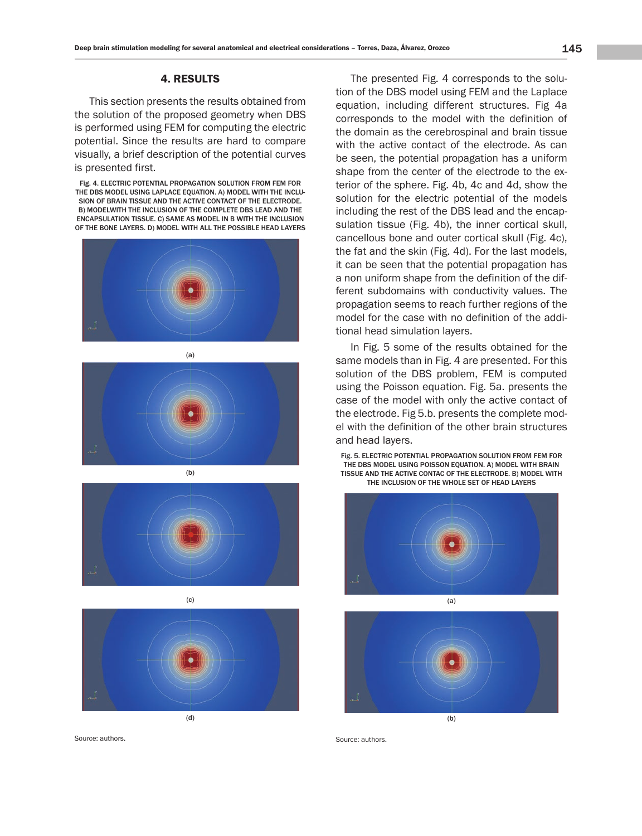## 4. RESULTS

This section presents the results obtained from the solution of the proposed geometry when DBS is performed using FEM for computing the electric potential. Since the results are hard to compare visually, a brief description of the potential curves is presented first.

Fig. 4. ELECTRIC POTENTIAL PROPAGATION SOLUTION FROM FEM FOR THE DBS MODEL USING LAPLACE EQUATION. A) MODEL WITH THE INCLU-SION OF BRAIN TISSUE AND THE ACTIVE CONTACT OF THE ELECTRODE. B) MODELWITH THE INCLUSION OF THE COMPLETE DBS LEAD AND THE ENCAPSULATION TISSUE. C) SAME AS MODEL IN B WITH THE INCLUSION OF THE BONE LAYERS. D) MODEL WITH ALL THE POSSIBLE HEAD LAYERS



(a)







Source: authors.

The presented Fig. 4 corresponds to the solution of the DBS model using FEM and the Laplace equation, including different structures. Fig 4a corresponds to the model with the definition of the domain as the cerebrospinal and brain tissue with the active contact of the electrode. As can be seen, the potential propagation has a uniform shape from the center of the electrode to the exterior of the sphere. Fig. 4b, 4c and 4d, show the solution for the electric potential of the models including the rest of the DBS lead and the encapsulation tissue (Fig. 4b), the inner cortical skull, cancellous bone and outer cortical skull (Fig. 4c), the fat and the skin (Fig. 4d). For the last models, it can be seen that the potential propagation has a non uniform shape from the definition of the different subdomains with conductivity values. The propagation seems to reach further regions of the model for the case with no definition of the additional head simulation layers.

In Fig. 5 some of the results obtained for the same models than in Fig. 4 are presented. For this solution of the DBS problem, FEM is computed using the Poisson equation. Fig. 5a. presents the case of the model with only the active contact of the electrode. Fig 5.b. presents the complete model with the definition of the other brain structures and head layers.

Fig. 5. ELECTRIC POTENTIAL PROPAGATION SOLUTION FROM FEM FOR THE DBS MODEL USING POISSON EQUATION. A) MODEL WITH BRAIN TISSUE AND THE ACTIVE CONTAC OF THE ELECTRODE. B) MODEL WITH THE INCLUSION OF THE WHOLE SET OF HEAD LAYERS



(b)

Source: authors.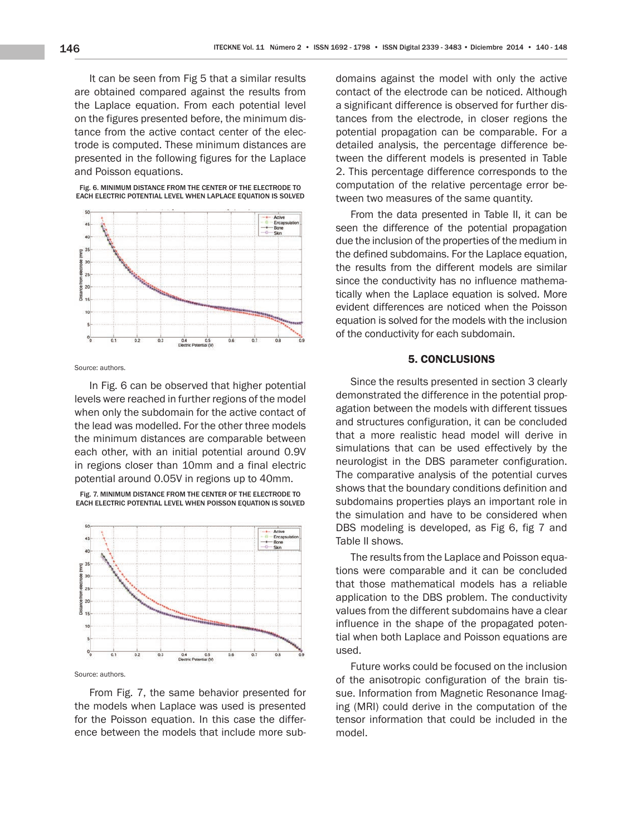It can be seen from Fig 5 that a similar results are obtained compared against the results from the Laplace equation. From each potential level on the figures presented before, the minimum distance from the active contact center of the electrode is computed. These minimum distances are presented in the following figures for the Laplace and Poisson equations.

Fig. 6. MINIMUM DISTANCE FROM THE CENTER OF THE ELECTRODE TO



Source: authors.

In Fig. 6 can be observed that higher potential levels were reached in further regions of the model when only the subdomain for the active contact of the lead was modelled. For the other three models the minimum distances are comparable between each other, with an initial potential around 0.9V in regions closer than 10mm and a final electric potential around 0.05V in regions up to 40mm.

EACH ELECTRIC POTENTIAL LEVEL WHEN POISSON EQUATION IS SOLVED Active<br>Encap

Fig. 7. MINIMUM DISTANCE FROM THE CENTER OF THE ELECTRODE TO



Source: authors.

From Fig. 7, the same behavior presented for the models when Laplace was used is presented for the Poisson equation. In this case the difference between the models that include more subdomains against the model with only the active contact of the electrode can be noticed. Although a significant difference is observed for further distances from the electrode, in closer regions the potential propagation can be comparable. For a detailed analysis, the percentage difference between the different models is presented in Table 2. This percentage difference corresponds to the computation of the relative percentage error between two measures of the same quantity.

From the data presented in Table II, it can be seen the difference of the potential propagation due the inclusion of the properties of the medium in the defined subdomains. For the Laplace equation, the results from the different models are similar since the conductivity has no influence mathematically when the Laplace equation is solved. More evident differences are noticed when the Poisson equation is solved for the models with the inclusion of the conductivity for each subdomain.

#### 5. CONCLUSIONS

Since the results presented in section 3 clearly demonstrated the difference in the potential propagation between the models with different tissues and structures configuration, it can be concluded that a more realistic head model will derive in simulations that can be used effectively by the neurologist in the DBS parameter configuration. The comparative analysis of the potential curves shows that the boundary conditions definition and subdomains properties plays an important role in the simulation and have to be considered when DBS modeling is developed, as Fig 6, fig 7 and Table II shows.

The results from the Laplace and Poisson equations were comparable and it can be concluded that those mathematical models has a reliable application to the DBS problem. The conductivity values from the different subdomains have a clear influence in the shape of the propagated potential when both Laplace and Poisson equations are used.

Future works could be focused on the inclusion of the anisotropic configuration of the brain tissue. Information from Magnetic Resonance Imaging (MRI) could derive in the computation of the tensor information that could be included in the model.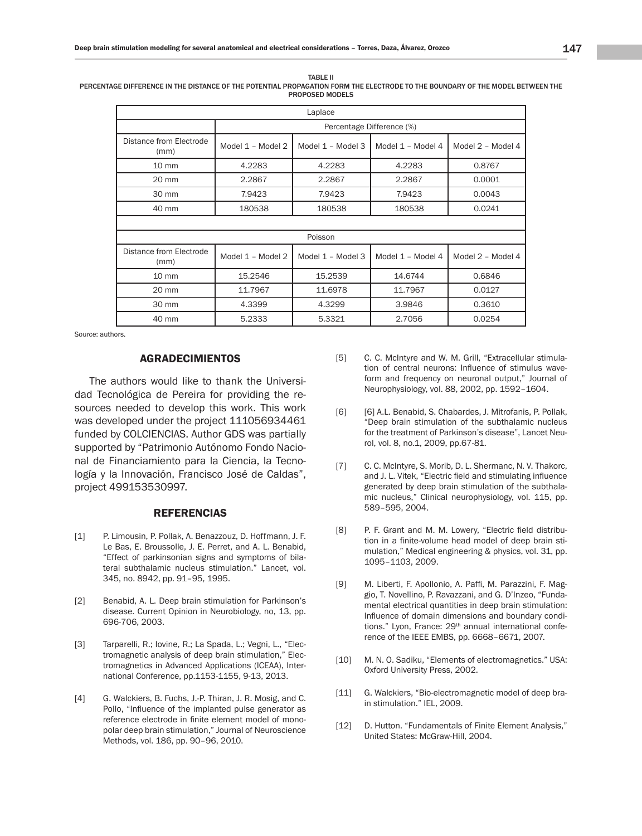| Laplace                         |                           |                   |                   |                   |  |  |
|---------------------------------|---------------------------|-------------------|-------------------|-------------------|--|--|
|                                 | Percentage Difference (%) |                   |                   |                   |  |  |
| Distance from Electrode<br>(mm) | Model 1 - Model 2         | Model 1 - Model 3 | Model 1 - Model 4 | Model 2 - Model 4 |  |  |
| $10 \text{ mm}$                 | 4.2283                    | 4.2283            | 4.2283            | 0.8767            |  |  |
| 20 mm                           | 2.2867                    | 2.2867            | 2.2867            | 0.0001            |  |  |
| 30 mm                           | 7.9423                    | 7.9423            | 7.9423            | 0.0043            |  |  |
| 40 mm                           | 180538                    | 180538            | 180538            | 0.0241            |  |  |
|                                 |                           |                   |                   |                   |  |  |
| Poisson                         |                           |                   |                   |                   |  |  |
| Distance from Electrode<br>(mm) | Model 1 - Model 2         | Model 1 - Model 3 | Model 1 - Model 4 | Model 2 - Model 4 |  |  |
| $10 \, \text{mm}$               | 15.2546                   | 15.2539           | 14.6744           | 0.6846            |  |  |
| 20 mm                           | 11.7967                   | 11.6978           | 11.7967           | 0.0127            |  |  |
| 30 mm                           | 4.3399                    | 4.3299            | 3.9846            | 0.3610            |  |  |
| 40 mm                           | 5.2333                    | 5.3321            | 2.7056            | 0.0254            |  |  |

TABLE II PERCENTAGE DIFFERENCE IN THE DISTANCE OF THE POTENTIAL PROPAGATION FORM THE ELECTRODE TO THE BOUNDARY OF THE MODEL BETWEEN THE PROPOSED MODELS

Source: authors.

## AGRADECIMIENTOS

The authors would like to thank the Universidad Tecnológica de Pereira for providing the resources needed to develop this work. This work was developed under the project 111056934461 funded by COLCIENCIAS. Author GDS was partially supported by "Patrimonio Autónomo Fondo Nacional de Financiamiento para la Ciencia, la Tecnología y la Innovación, Francisco José de Caldas", project 499153530997.

#### REFERENCIAS

- [1] P. Limousin, P. Pollak, A. Benazzouz, D. Hoffmann, J. F. Le Bas, E. Broussolle, J. E. Perret, and A. L. Benabid, "Effect of parkinsonian signs and symptoms of bilateral subthalamic nucleus stimulation." Lancet, vol. 345, no. 8942, pp. 91–95, 1995.
- [2] Benabid, A. L. Deep brain stimulation for Parkinson's disease. Current Opinion in Neurobiology, no, 13, pp. 696-706, 2003.
- [3] Tarparelli, R.; Iovine, R.; La Spada, L.; Vegni, L., "Electromagnetic analysis of deep brain stimulation," Electromagnetics in Advanced Applications (ICEAA), International Conference, pp.1153-1155, 9-13, 2013.
- [4] G. Walckiers, B. Fuchs, J.-P. Thiran, J. R. Mosig, and C. Pollo, "Influence of the implanted pulse generator as reference electrode in finite element model of monopolar deep brain stimulation," Journal of Neuroscience Methods, vol. 186, pp. 90–96, 2010.
- [5] C. C. McIntyre and W. M. Grill, "Extracellular stimulation of central neurons: Influence of stimulus waveform and frequency on neuronal output," Journal of Neurophysiology, vol. 88, 2002, pp. 1592–1604.
- [6] [6] A.L. Benabid, S. Chabardes, J. Mitrofanis, P. Pollak, "Deep brain stimulation of the subthalamic nucleus for the treatment of Parkinson's disease", Lancet Neurol, vol. 8, no.1, 2009, pp.67-81.
- [7] C. C. McIntyre, S. Morib, D. L. Shermanc, N. V. Thakorc, and J. L. Vitek, "Electric field and stimulating influence generated by deep brain stimulation of the subthalamic nucleus," Clinical neurophysiology, vol. 115, pp. 589–595, 2004.
- [8] P. F. Grant and M. M. Lowery, "Electric field distribution in a finite-volume head model of deep brain stimulation," Medical engineering & physics, vol. 31, pp. 1095–1103, 2009.
- [9] M. Liberti, F. Apollonio, A. Paffi, M. Parazzini, F. Maggio, T. Novellino, P. Ravazzani, and G. D'Inzeo, "Fundamental electrical quantities in deep brain stimulation: Influence of domain dimensions and boundary conditions." Lyon, France: 29<sup>th</sup> annual international conference of the IEEE EMBS, pp. 6668–6671, 2007.
- [10] M. N. O. Sadiku, "Elements of electromagnetics." USA: Oxford University Press, 2002.
- [11] G. Walckiers, "Bio-electromagnetic model of deep brain stimulation." IEL, 2009.
- [12] D. Hutton. "Fundamentals of Finite Element Analysis," United States: McGraw-Hill, 2004.